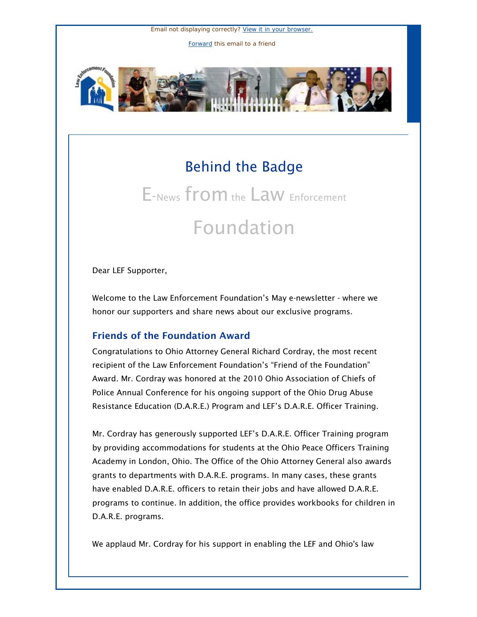Email not displaying correctly? [View it in your browser.](http://us1.campaign-archive.com/?u=cae15d65024df1c29f350ea33&id=1695912e0e&e=5e0af12557) [Forward](http://us1.forward-to-friend.com/forward?u=cae15d65024df1c29f350ea33&id=1695912e0e&e=5e0af12557) this email to a friend



## Behind the Badge

# E-News from the Law Enforcement Foundation

Dear LEF Supporter,

Welcome to the Law Enforcement Foundation's May e-newsletter - where we honor our supporters and share news about our exclusive programs.

#### Friends of the Foundation Award

Congratulations to Ohio Attorney General Richard Cordray, the most recent recipient of the Law Enforcement Foundation's "Friend of the Foundation" Award. Mr. Cordray was honored at the 2010 Ohio Association of Chiefs of Police Annual Conference for his ongoing support of the Ohio Drug Abuse Resistance Education (D.A.R.E.) Program and LEF's D.A.R.E. Officer Training.

Mr. Cordray has generously supported LEF's D.A.R.E. Officer Training program by providing accommodations for students at the Ohio Peace Officers Training Academy in London, Ohio. The Office of the Ohio Attorney General also awards grants to departments with D.A.R.E. programs. In many cases, these grants have enabled D.A.R.E. officers to retain their jobs and have allowed D.A.R.E. programs to continue. In addition, the office provides workbooks for children in D.A.R.E. programs.

We applaud Mr. Cordray for his support in enabling the LEF and Ohio's law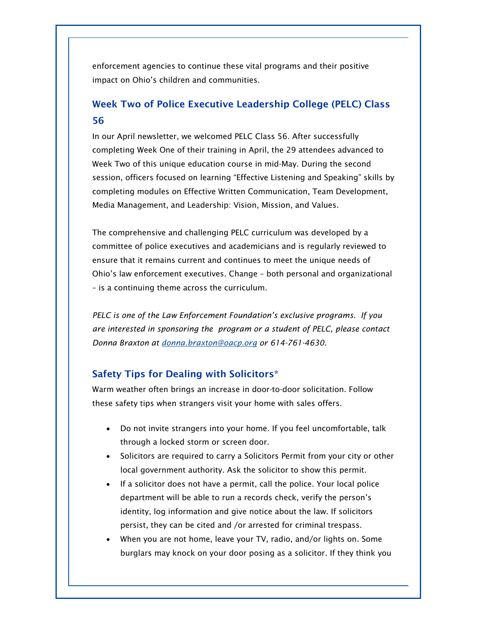enforcement agencies to continue these vital programs and their positive impact on Ohio's children and communities.

### Week Two of Police Executive Leadership College (PELC) Class 56

In our April newsletter, we welcomed PELC Class 56. After successfully completing Week One of their training in April, the 29 attendees advanced to Week Two of this unique education course in mid-May. During the second session, officers focused on learning "Effective Listening and Speaking" skills by completing modules on Effective Written Communication, Team Development, Media Management, and Leadership: Vision, Mission, and Values.

The comprehensive and challenging PELC curriculum was developed by a committee of police executives and academicians and is regularly reviewed to ensure that it remains current and continues to meet the unique needs of Ohio's law enforcement executives. Change – both personal and organizational – is a continuing theme across the curriculum.

*PELC is one of the Law Enforcement Foundation's exclusive programs. If you are interested in sponsoring the program or a student of PELC, please contact Donna Braxton at [donna.braxton@oacp.org](mailto:donna.braxton@oacp.org) or 614-761-4630.*

#### Safety Tips for Dealing with Solicitors\*

Warm weather often brings an increase in door-to-door solicitation. Follow these safety tips when strangers visit your home with sales offers.

- Do not invite strangers into your home. If you feel uncomfortable, talk through a locked storm or screen door.
- Solicitors are required to carry a Solicitors Permit from your city or other local government authority. Ask the solicitor to show this permit.
- If a solicitor does not have a permit, call the police. Your local police department will be able to run a records check, verify the person's identity, log information and give notice about the law. If solicitors persist, they can be cited and /or arrested for criminal trespass.
- When you are not home, leave your TV, radio, and/or lights on. Some burglars may knock on your door posing as a solicitor. If they think you